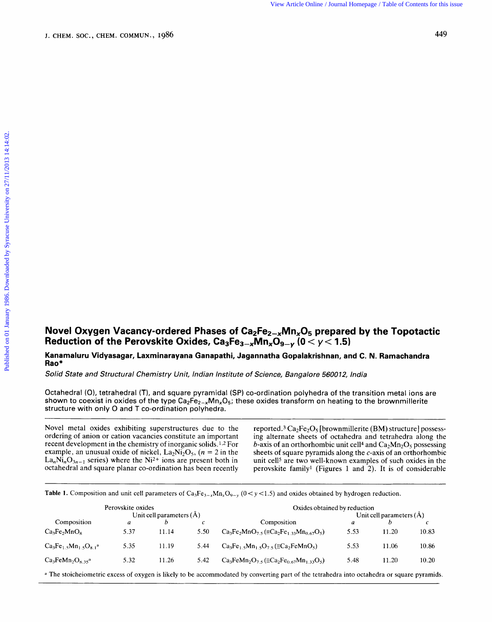## Novel Oxygen Vacancy-ordered Phases of Ca<sub>2</sub>Fe<sub>2-x</sub>Mn<sub>x</sub>O<sub>5</sub> prepared by the Topotactic Reduction of the Perovskite Oxides, Ca<sub>3</sub>Fe<sub>3-x</sub>Mn<sub>x</sub>O<sub>9-v</sub> (0 < y < 1.5) **Rovel Oxygen Vacancy-ordered Phases of Ca<sub>2</sub>Fe<sub>2-x</sub>Mn<sub>x</sub>O<sub>5</sub> prepared by the Topotactic<br>Reduction of the Perovskite Oxides, Ca<sub>3</sub>Fe<sub>3-x</sub>Mn<sub>x</sub>O<sub>9-y</sub> (0 < y < 1.5)<br><sup>Kanamaluru Vidyasagar, Laxminarayana Ganapathi, Jagannatha**</sup> Novel Oxygen Vacancy-ordered Phases of Ca<sub>2</sub>Fe<sub>2-x</sub>Mn<sub>x</sub>O<sub>5</sub> prepared by the Topotactic<br>Reduction of the Perovskite Oxides, Ca<sub>3</sub>Fe<sub>3-x</sub>Mn<sub>x</sub>O<sub>9-y</sub> (0 < y < 1.5)<br><sup>Kanamaluru Vidyasagar, Laxminarayana Ganapathi, Jagannatha </sup>

**Kanamaluru Vidyasagar, Laxminarayana Ganapathi, Jagannatha Gopalakrishnan, and C. N. Ramachandra Rao\*** 

Octahedral (O), tetrahedral (T), and square pyramidal **(SP)** co-ordination polyhedra of the transition metal ions are shown to coexist in oxides of the type  $Ca_2Fe_{2-x}Mn_xO_5$ ; these oxides transform on heating to the brownmillerite structure with only 0 and T co-ordination polyhedra.

Novel metal oxides exhibiting superstructures due to the ordering of anion or cation vacancies constitute an important recent development in the chemistry of inorganic solids.<sup>1,2</sup> For example, an unusual oxide of nickel,  $La_2Ni_2O_5$ , ( $n = 2$  in the  $La_nNi_nO_{3n-1}$  series) where the Ni<sup>2+</sup> ions are present both in octahedral and square planar co-ordination has been recently

shown to coexist in oxides of the type  $Ca_2Fe_{2-x}Mn_xO_5$ ; these oxides transform on heating to the brownmillerite<br>structure with only O and T co-ordination polyhedra.<br>Novel metal oxides exhibiting superstructures due to th reported.<sup>3</sup> Ca<sub>2</sub>Fe<sub>2</sub>O<sub>5</sub> [brownmillerite (BM) structure] possessing alternate sheets of octahedra and tetrahedra along the b-axis of an orthorhombic unit cell<sup>4</sup> and  $Ca<sub>2</sub>Mn<sub>2</sub>O<sub>5</sub>$  possessing sheets of square pyramids along the c-axis of an orthorhombic unit cell<sup>5</sup> are two well-known examples of such oxides in the perovskite family1 (Figures 1 and **2).** It is of considerable

|                                                                                                                                                                                                                               |                                           |  | Table 1. Composition and unit cell parameters of $Ca_3Fe_{3-x}Mn_xO_{9-y}$ ( $0 < y < 1.5$ ) and oxides obtained by hydrogen reduction.                                                                                |                              |                         |  |
|-------------------------------------------------------------------------------------------------------------------------------------------------------------------------------------------------------------------------------|-------------------------------------------|--|------------------------------------------------------------------------------------------------------------------------------------------------------------------------------------------------------------------------|------------------------------|-------------------------|--|
|                                                                                                                                                                                                                               | Perovskite oxides<br>Unit cell parameters |  |                                                                                                                                                                                                                        | Oxides obtained by reduction |                         |  |
| Composition                                                                                                                                                                                                                   |                                           |  | Composition                                                                                                                                                                                                            |                              | Unit cell parameters (A |  |
|                                                                                                                                                                                                                               |                                           |  | Ca <sub>3</sub> Fe <sub>2</sub> MnO <sub>8</sub> 5.37 11.14 5.50 Ca <sub>3</sub> Fe <sub>2</sub> MnO <sub>7.5</sub> ( $\equiv$ Ca <sub>2</sub> Fe <sub>1.33</sub> Mn <sub>0.67</sub> O <sub>5</sub> ) 5.53 11.20 10.83 |                              |                         |  |
| $Ca_3Fe_{1.5}Mn_{1.5}O_{8.1}$ <sup>a</sup> 5.35 11.19 5.44 $Ca_3Fe_{1.5}Mn_{1.5}O_{7.5} (\equiv Ca_2FeMnO_5)$ 5.53 11.06 10.86                                                                                                |                                           |  |                                                                                                                                                                                                                        |                              |                         |  |
| Ca <sub>3</sub> FeMn <sub>2</sub> O <sub>8.35</sub> <sup>a</sup> 5.32 11.26 5.42 Ca <sub>3</sub> FeMn <sub>2</sub> O <sub>7.5</sub> (=Ca <sub>2</sub> Fe <sub>0.67</sub> Mn <sub>1.33</sub> O <sub>5</sub> ) 5.48 11.20 10.20 |                                           |  |                                                                                                                                                                                                                        |                              |                         |  |
| a The stoicheiometric excess of oxygen is likely to be accommodated by converting part of the tetrahedra into octahedra or square pyramids.                                                                                   |                                           |  |                                                                                                                                                                                                                        |                              |                         |  |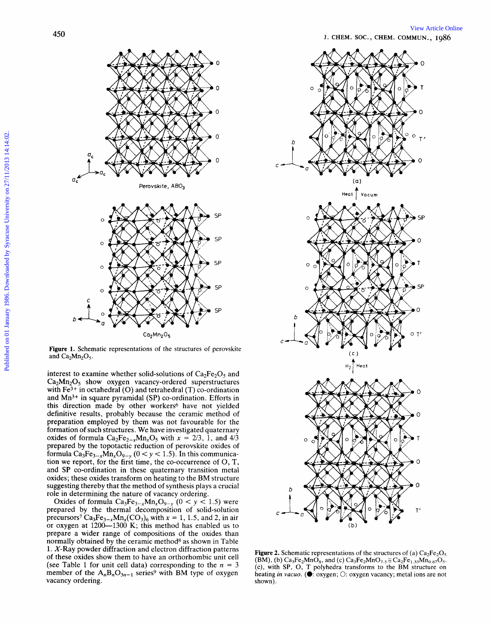

**Ca2 M n2** 

**Figure 1.** Schematic representations of the structures and  $Ca<sub>2</sub>Mn<sub>2</sub>O<sub>5</sub>$ .

interest to examine whether solid-solutions of  $Ca<sub>2</sub>Fe<sub>2</sub>O<sub>5</sub>$  and  $Ca<sub>2</sub>Mn<sub>2</sub>O<sub>5</sub>$  show oxygen vacancy-ordered superstructures with  $Fe<sup>3+</sup>$  in octahedral (O) and tetrahedral (T) co-ordination and Mn3+ in square pyramidal **(SP)** co-ordination. Efforts in this direction made by other workers<sup>6</sup> have not yielded definitive results, probably because the ceramic method of preparation employed by them was not favourable for the formation of such structures. We have investigated quaternary oxides of formula  $Ca_2Fe_{2-x}Mn_xO_5$  with  $x = 2/3$ , 1, and  $4/3$ prepared by the topotactic reduction of perovskite oxides of formula  $Ca_3Fe_{3-x}Mn_xO_{9-y}$  ( $0 < y < 1.5$ ). In this communication we report, for the first time, the co-occurrence of 0, T, and **SP** co-ordination in these quaternary transition metal oxides; these oxides transform on heating to the BM structure suggesting thereby that the method of synthesis plays a crucial role in determining the nature of vacancy ordering.

Oxides of formula  $Ca_3Fe_{3-x}Mn_xO_{9-y}$  ( $0 < y < 1.5$ ) were prepared by the thermal decomposition of solid-solution precursors<sup>7</sup> Ca<sub>3</sub>Fe<sub>3-x</sub>Mn<sub>x</sub>(CO<sub>3</sub>)<sub>6</sub> with  $x = 1, 1.5$ , and 2, in air or oxygen at  $1200-1300$  K; this method has enabled us to prepare a wider range of compositions of the oxides than normally obtained by the ceramic method<sup>8</sup> as shown in Table 1. X-Ray powder diffraction and electron diffraction patterns **Figure 2.** Schematic representations of the structures of (a) Ca<sub>2</sub>Fe<sub>2</sub>O<sub>s</sub> of these oxides show them to have an orthorhombic unit cell (see Table 1 for unit cell data) corresponding to the  $n = 3$  member of the  $A_nB_nO_{3n-1}$  series<sup>9</sup> with BM type of oxygen precursors<sup>7</sup> Ca<sub>3</sub>Fe<sub>3-x</sub>Mn<sub>x</sub>(CO<sub>3</sub>)<sub>6</sub> with  $x = 1$ , 1.5, and 2, in air<br>or oxygen at 1200—1300 K; this method has enabled us to<br>normally obtained by the ceramic method<sup>8</sup> as shown in Table<br>1. X-Ray powder diffraction an vacancy ordering. shown).



 $(BM)$ , (b)  $Ca_3Fe_2MnO_8$ , and (c)  $Ca_3Fe_2MnO_{7.5} \equiv Ca_2Fe_{1.33}Mn_{0.67}O_5$ . (c), with **SP,** 0, <sup>T</sup>polyhedra transforms to the BM structure on heating *in vacuo*. ( $\bullet$ : oxygen; O: oxygen vacancy; metal ions are not